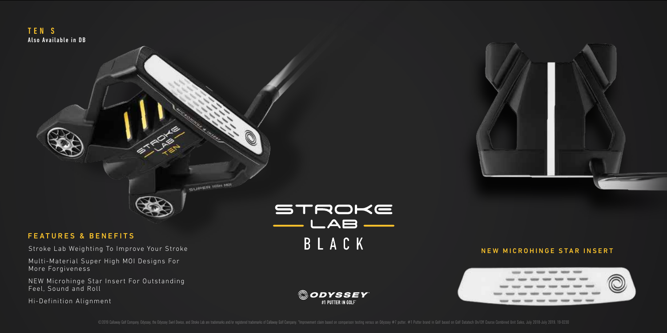

## FEATURES & BENEFITS

Stroke Lab Weighting To Improve Your Stroke

Multi-Material Super High MOI Designs For More Forgiveness

NEW Microhinge Star Insert For Outstanding Feel, Sound and Roll

Hi-Definition Alignment

STROKE BLACK



## NEW MICROHINGE STAR INSERT



©ODYSSEY #1 PUTTER IN GOLFT